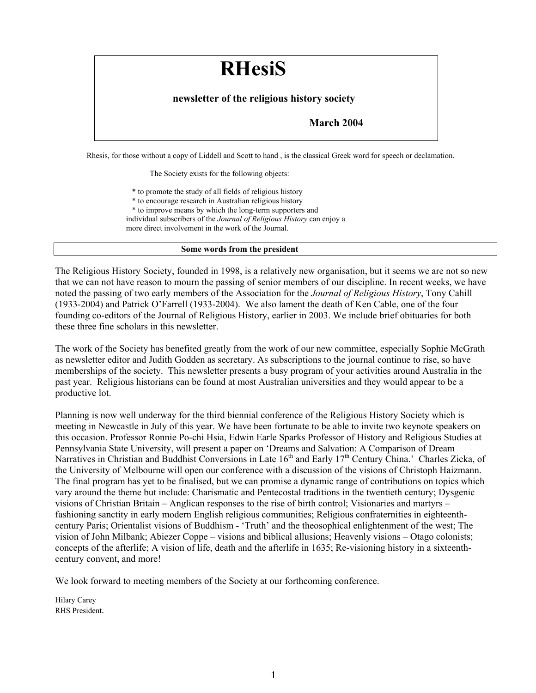# **RHesiS**

 **newsletter of the religious history society** 

# **March 2004**

Rhesis, for those without a copy of Liddell and Scott to hand , is the classical Greek word for speech or declamation.

The Society exists for the following objects:

 \* to promote the study of all fields of religious history \* to encourage research in Australian religious history \* to improve means by which the long-term supporters and individual subscribers of the *Journal of Religious History* can enjoy a more direct involvement in the work of the Journal.

#### **Some words from the president**

The Religious History Society, founded in 1998, is a relatively new organisation, but it seems we are not so new that we can not have reason to mourn the passing of senior members of our discipline. In recent weeks, we have noted the passing of two early members of the Association for the *Journal of Religious History*, Tony Cahill (1933-2004) and Patrick O'Farrell (1933-2004). We also lament the death of Ken Cable, one of the four founding co-editors of the Journal of Religious History, earlier in 2003. We include brief obituaries for both these three fine scholars in this newsletter.

The work of the Society has benefited greatly from the work of our new committee, especially Sophie McGrath as newsletter editor and Judith Godden as secretary. As subscriptions to the journal continue to rise, so have memberships of the society. This newsletter presents a busy program of your activities around Australia in the past year. Religious historians can be found at most Australian universities and they would appear to be a productive lot.

Planning is now well underway for the third biennial conference of the Religious History Society which is meeting in Newcastle in July of this year. We have been fortunate to be able to invite two keynote speakers on this occasion. Professor Ronnie Po-chi Hsia, Edwin Earle Sparks Professor of History and Religious Studies at Pennsylvania State University, will present a paper on 'Dreams and Salvation: A Comparison of Dream Narratives in Christian and Buddhist Conversions in Late 16<sup>th</sup> and Early 17<sup>th</sup> Century China.' Charles Zicka, of the University of Melbourne will open our conference with a discussion of the visions of Christoph Haizmann. The final program has yet to be finalised, but we can promise a dynamic range of contributions on topics which vary around the theme but include: Charismatic and Pentecostal traditions in the twentieth century; Dysgenic visions of Christian Britain – Anglican responses to the rise of birth control; Visionaries and martyrs – fashioning sanctity in early modern English religious communities; Religious confraternities in eighteenthcentury Paris; Orientalist visions of Buddhism - 'Truth' and the theosophical enlightenment of the west; The vision of John Milbank; Abiezer Coppe – visions and biblical allusions; Heavenly visions – Otago colonists; concepts of the afterlife; A vision of life, death and the afterlife in 1635; Re-visioning history in a sixteenthcentury convent, and more!

We look forward to meeting members of the Society at our forthcoming conference.

Hilary Carey RHS President.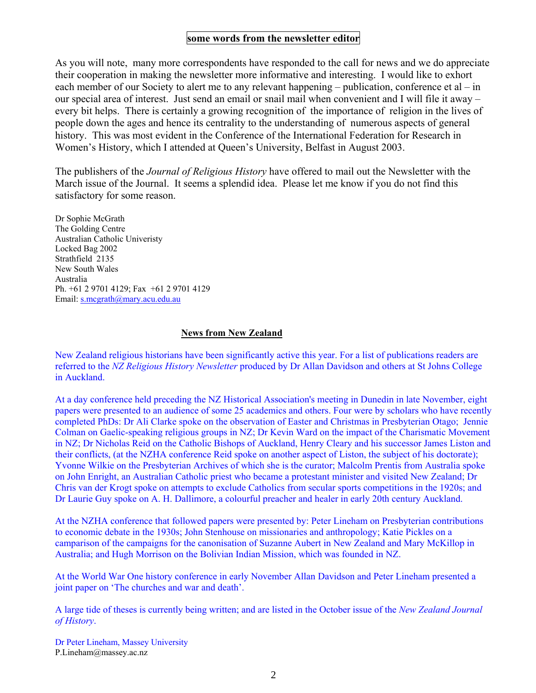# **some words from the newsletter editor**

As you will note, many more correspondents have responded to the call for news and we do appreciate their cooperation in making the newsletter more informative and interesting. I would like to exhort each member of our Society to alert me to any relevant happening – publication, conference et al – in our special area of interest. Just send an email or snail mail when convenient and I will file it away – every bit helps. There is certainly a growing recognition of the importance of religion in the lives of people down the ages and hence its centrality to the understanding of numerous aspects of general history. This was most evident in the Conference of the International Federation for Research in Women's History, which I attended at Queen's University, Belfast in August 2003.

The publishers of the *Journal of Religious History* have offered to mail out the Newsletter with the March issue of the Journal. It seems a splendid idea. Please let me know if you do not find this satisfactory for some reason.

Dr Sophie McGrath The Golding Centre Australian Catholic Univeristy Locked Bag 2002 Strathfield 2135 New South Wales Australia Ph. +61 2 9701 4129; Fax +61 2 9701 4129 Email: s.mcgrath@mary.acu.edu.au

## **News from New Zealand**

New Zealand religious historians have been significantly active this year. For a list of publications readers are referred to the *NZ Religious History Newsletter* produced by Dr Allan Davidson and others at St Johns College in Auckland.

At a day conference held preceding the NZ Historical Association's meeting in Dunedin in late November, eight papers were presented to an audience of some 25 academics and others. Four were by scholars who have recently completed PhDs: Dr Ali Clarke spoke on the observation of Easter and Christmas in Presbyterian Otago; Jennie Colman on Gaelic-speaking religious groups in NZ; Dr Kevin Ward on the impact of the Charismatic Movement in NZ; Dr Nicholas Reid on the Catholic Bishops of Auckland, Henry Cleary and his successor James Liston and their conflicts, (at the NZHA conference Reid spoke on another aspect of Liston, the subject of his doctorate); Yvonne Wilkie on the Presbyterian Archives of which she is the curator; Malcolm Prentis from Australia spoke on John Enright, an Australian Catholic priest who became a protestant minister and visited New Zealand; Dr Chris van der Krogt spoke on attempts to exclude Catholics from secular sports competitions in the 1920s; and Dr Laurie Guy spoke on A. H. Dallimore, a colourful preacher and healer in early 20th century Auckland.

At the NZHA conference that followed papers were presented by: Peter Lineham on Presbyterian contributions to economic debate in the 1930s; John Stenhouse on missionaries and anthropology; Katie Pickles on a camparison of the campaigns for the canonisation of Suzanne Aubert in New Zealand and Mary McKillop in Australia; and Hugh Morrison on the Bolivian Indian Mission, which was founded in NZ.

At the World War One history conference in early November Allan Davidson and Peter Lineham presented a joint paper on 'The churches and war and death'.

A large tide of theses is currently being written; and are listed in the October issue of the *New Zealand Journal of History*.

Dr Peter Lineham, Massey University P.Lineham@massey.ac.nz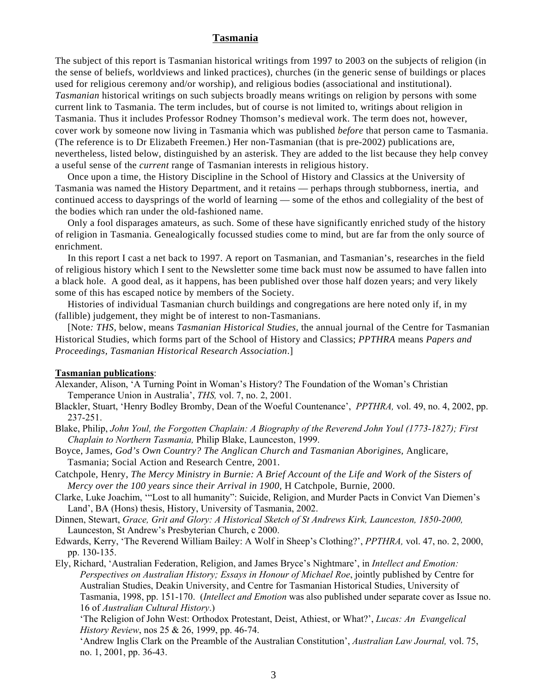# **Tasmania**

The subject of this report is Tasmanian historical writings from 1997 to 2003 on the subjects of religion (in the sense of beliefs, worldviews and linked practices), churches (in the generic sense of buildings or places used for religious ceremony and/or worship), and religious bodies (associational and institutional). *Tasmanian* historical writings on such subjects broadly means writings on religion by persons with some current link to Tasmania. The term includes, but of course is not limited to, writings about religion in Tasmania. Thus it includes Professor Rodney Thomson's medieval work. The term does not, however, cover work by someone now living in Tasmania which was published *before* that person came to Tasmania. (The reference is to Dr Elizabeth Freemen.) Her non-Tasmanian (that is pre-2002) publications are, nevertheless, listed below, distinguished by an asterisk. They are added to the list because they help convey a useful sense of the *current* range of Tasmanian interests in religious history.

Once upon a time, the History Discipline in the School of History and Classics at the University of Tasmania was named the History Department, and it retains — perhaps through stubborness, inertia, and continued access to daysprings of the world of learning — some of the ethos and collegiality of the best of the bodies which ran under the old-fashioned name.

Only a fool disparages amateurs, as such. Some of these have significantly enriched study of the history of religion in Tasmania. Genealogically focussed studies come to mind, but are far from the only source of enrichment.

In this report I cast a net back to 1997. A report on Tasmanian, and Tasmanian's, researches in the field of religious history which I sent to the Newsletter some time back must now be assumed to have fallen into a black hole. A good deal, as it happens, has been published over those half dozen years; and very likely some of this has escaped notice by members of the Society.

Histories of individual Tasmanian church buildings and congregations are here noted only if, in my (fallible) judgement, they might be of interest to non-Tasmanians.

[Note*: THS,* below, means *Tasmanian Historical Studies,* the annual journal of the Centre for Tasmanian Historical Studies, which forms part of the School of History and Classics; *PPTHRA* means *Papers and Proceedings, Tasmanian Historical Research Association*.]

#### **Tasmanian publications**:

Alexander, Alison, 'A Turning Point in Woman's History? The Foundation of the Woman's Christian Temperance Union in Australia', *THS,* vol. 7, no. 2, 2001.

- Blackler, Stuart, 'Henry Bodley Bromby, Dean of the Woeful Countenance', *PPTHRA,* vol. 49, no. 4, 2002, pp. 237-251.
- Blake, Philip, *John Youl, the Forgotten Chaplain: A Biography of the Reverend John Youl (1773-1827); First Chaplain to Northern Tasmania,* Philip Blake, Launceston, 1999.
- Boyce, James, *God's Own Country? The Anglican Church and Tasmanian Aborigines,* Anglicare, Tasmania; Social Action and Research Centre, 2001.
- Catchpole, Henry, *The Mercy Ministry in Burnie: A Brief Account of the Life and Work of the Sisters of Mercy over the 100 years since their Arrival in 1900,* H Catchpole, Burnie, 2000.
- Clarke, Luke Joachim, '"Lost to all humanity": Suicide, Religion, and Murder Pacts in Convict Van Diemen's Land', BA (Hons) thesis, History, University of Tasmania, 2002.
- Dinnen, Stewart, *Grace, Grit and Glory: A Historical Sketch of St Andrews Kirk, Launceston, 1850-2000,* Launceston, St Andrew's Presbyterian Church, c 2000.
- Edwards, Kerry, 'The Reverend William Bailey: A Wolf in Sheep's Clothing?', *PPTHRA,* vol. 47, no. 2, 2000, pp. 130-135.
- Ely, Richard, 'Australian Federation, Religion, and James Bryce's Nightmare', in *Intellect and Emotion: Perspectives on Australian History; Essays in Honour of Michael Roe*, jointly published by Centre for Australian Studies, Deakin University, and Centre for Tasmanian Historical Studies, University of Tasmania, 1998, pp. 151-170. (*Intellect and Emotion* was also published under separate cover as Issue no. 16 of *Australian Cultural History*.)

'The Religion of John West: Orthodox Protestant, Deist, Athiest, or What?', *Lucas: An Evangelical History Review*, nos 25 & 26, 1999, pp. 46-74.

'Andrew Inglis Clark on the Preamble of the Australian Constitution', *Australian Law Journal,* vol. 75, no. 1, 2001, pp. 36-43.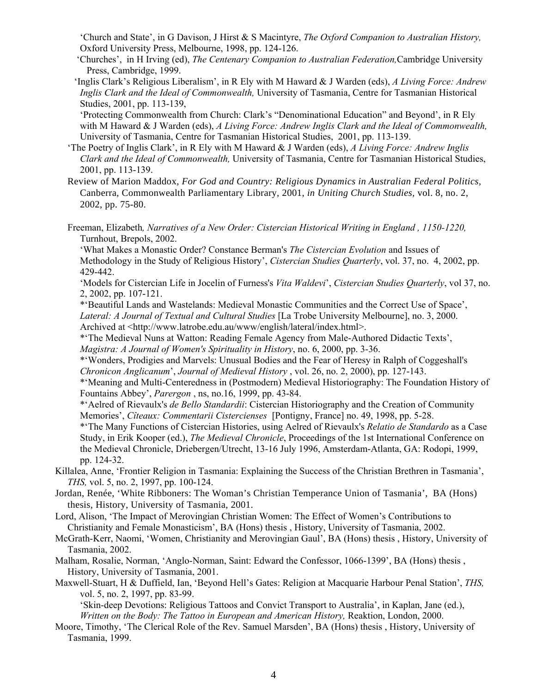'Church and State', in G Davison, J Hirst & S Macintyre, *The Oxford Companion to Australian History,* Oxford University Press, Melbourne, 1998, pp. 124-126.

- 'Churches', in H Irving (ed), *The Centenary Companion to Australian Federation,*Cambridge University Press, Cambridge, 1999.
- 'Inglis Clark's Religious Liberalism', in R Ely with M Haward & J Warden (eds), *A Living Force: Andrew Inglis Clark and the Ideal of Commonwealth,* University of Tasmania, Centre for Tasmanian Historical Studies, 2001, pp. 113-139,

 'Protecting Commonwealth from Church: Clark's "Denominational Education" and Beyond', in R Ely with M Haward & J Warden (eds), *A Living Force: Andrew Inglis Clark and the Ideal of Commonwealth,*  University of Tasmania, Centre for Tasmanian Historical Studies, 2001, pp. 113-139.

- 'The Poetry of Inglis Clark', in R Ely with M Haward & J Warden (eds), *A Living Force: Andrew Inglis Clark and the Ideal of Commonwealth,* University of Tasmania, Centre for Tasmanian Historical Studies, 2001, pp. 113-139.
- Review of Marion Maddox, *For God and Country: Religious Dynamics in Australian Federal Politics,* Canberra, Commonwealth Parliamentary Library, 2001, *in Uniting Church Studies,* vol. 8, no. 2, 2002, pp. 75-80.
- Freeman, Elizabeth*, Narratives of a New Order: Cistercian Historical Writing in England , 1150-1220,* Turnhout, Brepols, 2002.

'What Makes a Monastic Order? Constance Berman's *The Cistercian Evolution* and Issues of Methodology in the Study of Religious History', *Cistercian Studies Quarterly*, vol. 37, no. 4, 2002, pp. 429-442.

'Models for Cistercian Life in Jocelin of Furness's *Vita Waldevi*', *Cistercian Studies Quarterly*, vol 37, no. 2, 2002, pp. 107-121.

\*'Beautiful Lands and Wastelands: Medieval Monastic Communities and the Correct Use of Space', *Lateral: A Journal of Textual and Cultural Studies* [La Trobe University Melbourne], no. 3, 2000. Archived at <http://www.latrobe.edu.au/www/english/lateral/index.html>.

\*'The Medieval Nuns at Watton: Reading Female Agency from Male-Authored Didactic Texts', *Magistra: A Journal of Women's Spirituality in History*, no. 6, 2000, pp. 3-36.

\*'Wonders, Prodigies and Marvels: Unusual Bodies and the Fear of Heresy in Ralph of Coggeshall's *Chronicon Anglicanum*', *Journal of Medieval History* , vol. 26, no. 2, 2000), pp. 127-143.

\*'Meaning and Multi-Centeredness in (Postmodern) Medieval Historiography: The Foundation History of Fountains Abbey', *Parergon* , ns, no.16, 1999, pp. 43-84.

\*'Aelred of Rievaulx's *de Bello Standardii*: Cistercian Historiography and the Creation of Community Memories', *Cîteaux: Commentarii Cistercienses* [Pontigny, France] no. 49, 1998, pp. 5-28.

\*'The Many Functions of Cistercian Histories, using Aelred of Rievaulx's *Relatio de Standardo* as a Case Study, in Erik Kooper (ed.), *The Medieval Chronicle*, Proceedings of the 1st International Conference on the Medieval Chronicle, Driebergen/Utrecht, 13-16 July 1996, Amsterdam-Atlanta, GA: Rodopi, 1999, pp. 124-32.

- Killalea, Anne, 'Frontier Religion in Tasmania: Explaining the Success of the Christian Brethren in Tasmania', *THS,* vol. 5, no. 2, 1997, pp. 100-124.
- Jordan, Renée, 'White Ribboners: The Woman's Christian Temperance Union of Tasmania', BA (Hons) thesis, History, University of Tasmania, 2001.
- Lord, Alison, 'The Impact of Merovingian Christian Women: The Effect of Women's Contributions to Christianity and Female Monasticism', BA (Hons) thesis , History, University of Tasmania, 2002.
- McGrath-Kerr, Naomi, 'Women, Christianity and Merovingian Gaul', BA (Hons) thesis , History, University of Tasmania, 2002.
- Malham, Rosalie, Norman, 'Anglo-Norman, Saint: Edward the Confessor, 1066-1399', BA (Hons) thesis , History, University of Tasmania, 2001.
- Maxwell-Stuart, H & Duffield, Ian, 'Beyond Hell's Gates: Religion at Macquarie Harbour Penal Station', *THS,* vol. 5, no. 2, 1997, pp. 83-99.

'Skin-deep Devotions: Religious Tattoos and Convict Transport to Australia', in Kaplan, Jane (ed.), *Written on the Body: The Tattoo in European and American History,* Reaktion, London, 2000.

Moore, Timothy, 'The Clerical Role of the Rev. Samuel Marsden', BA (Hons) thesis , History, University of Tasmania, 1999.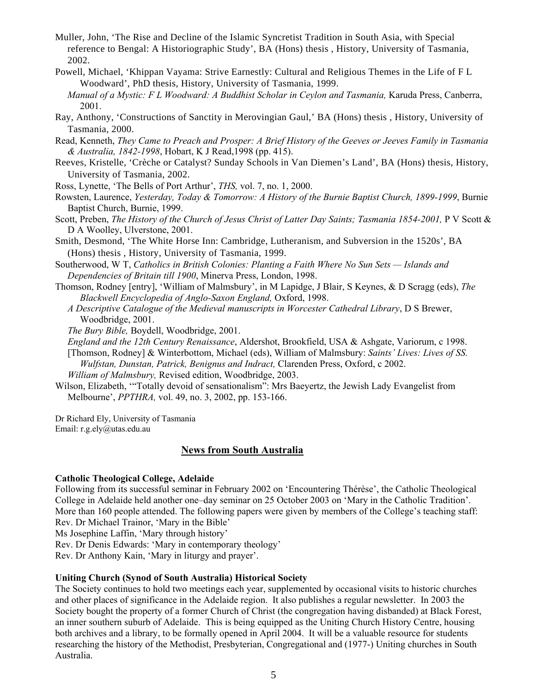- Muller, John, 'The Rise and Decline of the Islamic Syncretist Tradition in South Asia, with Special reference to Bengal: A Historiographic Study', BA (Hons) thesis , History, University of Tasmania, 2002.
- Powell, Michael, 'Khippan Vayama: Strive Earnestly: Cultural and Religious Themes in the Life of F L Woodward', PhD thesis, History, University of Tasmania, 1999.
- *Manual of a Mystic: F L Woodward: A Buddhist Scholar in Ceylon and Tasmania,* Karuda Press, Canberra, 2001.
- Ray, Anthony, 'Constructions of Sanctity in Merovingian Gaul,' BA (Hons) thesis , History, University of Tasmania, 2000.
- Read, Kenneth, *They Came to Preach and Prosper: A Brief History of the Geeves or Jeeves Family in Tasmania & Australia, 1842-1998*, Hobart, K J Read,1998 (pp. 415).
- Reeves, Kristelle, 'Crèche or Catalyst? Sunday Schools in Van Diemen's Land', BA (Hons) thesis, History, University of Tasmania, 2002.
- Ross, Lynette, 'The Bells of Port Arthur', *THS,* vol. 7, no. 1, 2000.
- Rowsten, Laurence, *Yesterday, Today & Tomorrow: A History of the Burnie Baptist Church, 1899-1999*, Burnie Baptist Church, Burnie, 1999.
- Scott, Preben, *The History of the Church of Jesus Christ of Latter Day Saints; Tasmania 1854-2001,* P V Scott & D A Woolley, Ulverstone, 2001.
- Smith, Desmond, 'The White Horse Inn: Cambridge, Lutheranism, and Subversion in the 1520s', BA (Hons) thesis , History, University of Tasmania, 1999.
- Southerwood, W T, *Catholics in British Colonies: Planting a Faith Where No Sun Sets Islands and Dependencies of Britain till 1900*, Minerva Press, London, 1998.
- Thomson, Rodney [entry], 'William of Malmsbury', in M Lapidge, J Blair, S Keynes, & D Scragg (eds), *The Blackwell Encyclopedia of Anglo-Saxon England,* Oxford, 1998.
	- *A Descriptive Catalogue of the Medieval manuscripts in Worcester Cathedral Library*, D S Brewer, Woodbridge, 2001.
	- *The Bury Bible,* Boydell, Woodbridge, 2001.

*England and the 12th Century Renaissance*, Aldershot, Brookfield, USA & Ashgate, Variorum, c 1998.

[Thomson, Rodney] & Winterbottom, Michael (eds), William of Malmsbury: *Saints' Lives: Lives of SS. Wulfstan, Dunstan, Patrick, Benignus and Indract,* Clarenden Press, Oxford, c 2002.

*William of Malmsbury,* Revised edition, Woodbridge, 2003.

Wilson, Elizabeth, '"Totally devoid of sensationalism": Mrs Baeyertz, the Jewish Lady Evangelist from Melbourne', *PPTHRA,* vol. 49, no. 3, 2002, pp. 153-166.

Dr Richard Ely, University of Tasmania Email: r.g.ely@utas.edu.au

#### **News from South Australia**

#### **Catholic Theological College, Adelaide**

Following from its successful seminar in February 2002 on 'Encountering Thérèse', the Catholic Theological College in Adelaide held another one–day seminar on 25 October 2003 on 'Mary in the Catholic Tradition'. More than 160 people attended. The following papers were given by members of the College's teaching staff: Rev. Dr Michael Trainor, 'Mary in the Bible'

Ms Josephine Laffin, 'Mary through history'

Rev. Dr Denis Edwards: 'Mary in contemporary theology'

Rev. Dr Anthony Kain, 'Mary in liturgy and prayer'.

#### **Uniting Church (Synod of South Australia) Historical Society**

The Society continues to hold two meetings each year, supplemented by occasional visits to historic churches and other places of significance in the Adelaide region. It also publishes a regular newsletter. In 2003 the Society bought the property of a former Church of Christ (the congregation having disbanded) at Black Forest, an inner southern suburb of Adelaide. This is being equipped as the Uniting Church History Centre, housing both archives and a library, to be formally opened in April 2004. It will be a valuable resource for students researching the history of the Methodist, Presbyterian, Congregational and (1977-) Uniting churches in South Australia.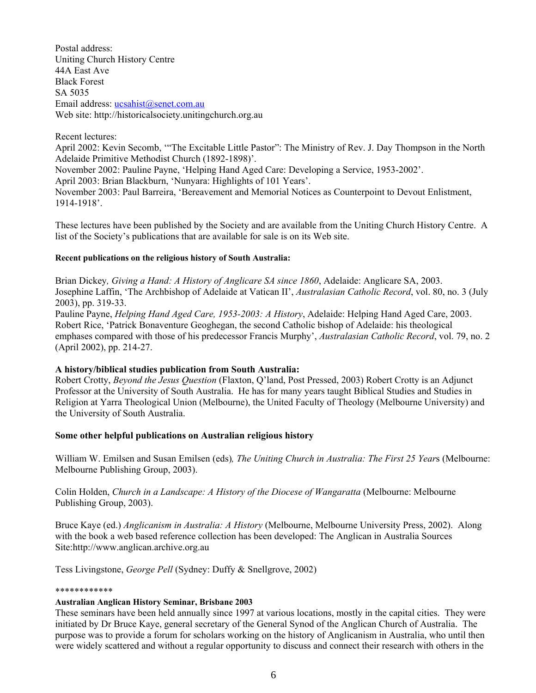Postal address: Uniting Church History Centre 44A East Ave Black Forest SA 5035 Email address: ucsahist@senet.com.au Web site: http://historicalsociety.unitingchurch.org.au

Recent lectures: April 2002: Kevin Secomb, '"The Excitable Little Pastor": The Ministry of Rev. J. Day Thompson in the North Adelaide Primitive Methodist Church (1892-1898)'. November 2002: Pauline Payne, 'Helping Hand Aged Care: Developing a Service, 1953-2002'. April 2003: Brian Blackburn, 'Nunyara: Highlights of 101 Years'. November 2003: Paul Barreira, 'Bereavement and Memorial Notices as Counterpoint to Devout Enlistment, 1914-1918'.

These lectures have been published by the Society and are available from the Uniting Church History Centre. A list of the Society's publications that are available for sale is on its Web site.

#### **Recent publications on the religious history of South Australia:**

Brian Dickey*, Giving a Hand: A History of Anglicare SA since 1860*, Adelaide: Anglicare SA, 2003. Josephine Laffin, 'The Archbishop of Adelaide at Vatican II', *Australasian Catholic Record*, vol. 80, no. 3 (July 2003), pp. 319-33.

Pauline Payne, *Helping Hand Aged Care, 1953-2003: A History*, Adelaide: Helping Hand Aged Care, 2003. Robert Rice, 'Patrick Bonaventure Geoghegan, the second Catholic bishop of Adelaide: his theological emphases compared with those of his predecessor Francis Murphy', *Australasian Catholic Record*, vol. 79, no. 2 (April 2002), pp. 214-27.

#### **A history/biblical studies publication from South Australia:**

Robert Crotty, *Beyond the Jesus Question* (Flaxton, Q'land, Post Pressed, 2003) Robert Crotty is an Adjunct Professor at the University of South Australia. He has for many years taught Biblical Studies and Studies in Religion at Yarra Theological Union (Melbourne), the United Faculty of Theology (Melbourne University) and the University of South Australia.

#### **Some other helpful publications on Australian religious history**

William W. Emilsen and Susan Emilsen (eds)*, The Uniting Church in Australia: The First 25 Year*s (Melbourne: Melbourne Publishing Group, 2003).

Colin Holden, *Church in a Landscape: A History of the Diocese of Wangaratta* (Melbourne: Melbourne Publishing Group, 2003).

Bruce Kaye (ed.) *Anglicanism in Australia: A History* (Melbourne, Melbourne University Press, 2002). Along with the book a web based reference collection has been developed: The Anglican in Australia Sources Site:http://www.anglican.archive.org.au

Tess Livingstone, *George Pell* (Sydney: Duffy & Snellgrove, 2002)

#### \*\*\*\*\*\*\*\*\*\*\*\*

#### **Australian Anglican History Seminar, Brisbane 2003**

These seminars have been held annually since 1997 at various locations, mostly in the capital cities. They were initiated by Dr Bruce Kaye, general secretary of the General Synod of the Anglican Church of Australia. The purpose was to provide a forum for scholars working on the history of Anglicanism in Australia, who until then were widely scattered and without a regular opportunity to discuss and connect their research with others in the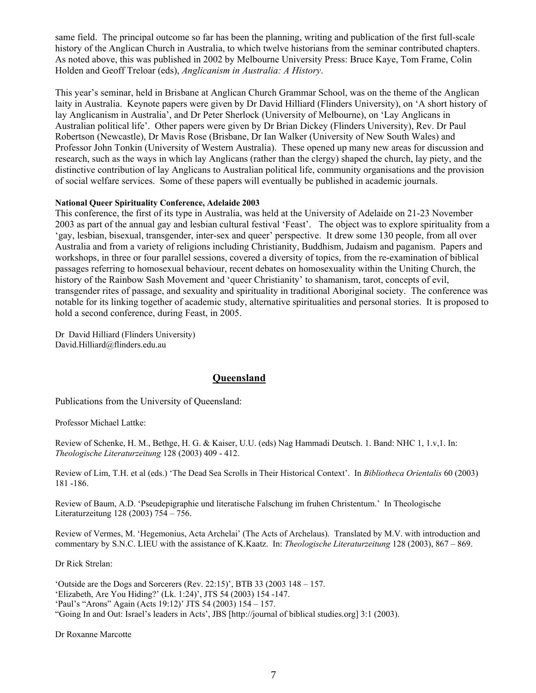same field. The principal outcome so far has been the planning, writing and publication of the first full-scale history of the Anglican Church in Australia, to which twelve historians from the seminar contributed chapters. As noted above, this was published in 2002 by Melbourne University Press: Bruce Kaye, Tom Frame, Colin Holden and Geoff Treloar (eds), *Anglicanism in Australia: A History*.

This year's seminar, held in Brisbane at Anglican Church Grammar School, was on the theme of the Anglican laity in Australia. Keynote papers were given by Dr David Hilliard (Flinders University), on 'A short history of lay Anglicanism in Australia', and Dr Peter Sherlock (University of Melbourne), on 'Lay Anglicans in Australian political life'. Other papers were given by Dr Brian Dickey (Flinders University), Rev. Dr Paul Robertson (Newcastle), Dr Mavis Rose (Brisbane, Dr Ian Walker (University of New South Wales) and Professor John Tonkin (University of Western Australia). These opened up many new areas for discussion and research, such as the ways in which lay Anglicans (rather than the clergy) shaped the church, lay piety, and the distinctive contribution of lay Anglicans to Australian political life, community organisations and the provision of social welfare services. Some of these papers will eventually be published in academic journals.

#### **National Queer Spirituality Conference, Adelaide 2003**

This conference, the first of its type in Australia, was held at the University of Adelaide on 21-23 November 2003 as part of the annual gay and lesbian cultural festival 'Feast'. The object was to explore spirituality from a 'gay, lesbian, bisexual, transgender, inter-sex and queer' perspective. It drew some 130 people, from all over Australia and from a variety of religions including Christianity, Buddhism, Judaism and paganism. Papers and workshops, in three or four parallel sessions, covered a diversity of topics, from the re-examination of biblical passages referring to homosexual behaviour, recent debates on homosexuality within the Uniting Church, the history of the Rainbow Sash Movement and 'queer Christianity' to shamanism, tarot, concepts of evil, transgender rites of passage, and sexuality and spirituality in traditional Aboriginal society. The conference was notable for its linking together of academic study, alternative spiritualities and personal stories. It is proposed to hold a second conference, during Feast, in 2005.

Dr David Hilliard (Flinders University) David.Hilliard@flinders.edu.au

# **Queensland**

Publications from the University of Queensland:

Professor Michael Lattke:

Review of Schenke, H. M., Bethge, H. G. & Kaiser, U.U. (eds) Nag Hammadi Deutsch. 1. Band: NHC 1, 1.v,1. In: *Theologische Literaturzeitung* 128 (2003) 409 - 412.

Review of Lim, T.H. et al (eds.) 'The Dead Sea Scrolls in Their Historical Context'. In *Bibliotheca Orientalis* 60 (2003) 181 -186.

Review of Baum, A.D. 'Pseudepigraphie und literatische Falschung im fruhen Christentum.' In Theologische Literaturzeitung 128 (2003) 754 – 756.

Review of Vermes, M. 'Hegemonius, Acta Archelai' (The Acts of Archelaus). Translated by M.V. with introduction and commentary by S.N.C. LIEU with the assistance of K.Kaatz. In: *Theologische Literaturzeitung* 128 (2003), 867 – 869.

Dr Rick Strelan:

'Outside are the Dogs and Sorcerers (Rev. 22:15)', BTB 33 (2003  $148 - 157$ . 'Elizabeth, Are You Hiding?' (Lk. 1:24)', JTS 54 (2003) 154 -147. 'Paul's "Arons" Again (Acts 19:12)' JTS 54 (2003) 154 – 157. "Going In and Out: Israel's leaders in Acts', JBS [http://journal of biblical studies.org] 3:1 (2003).

Dr Roxanne Marcotte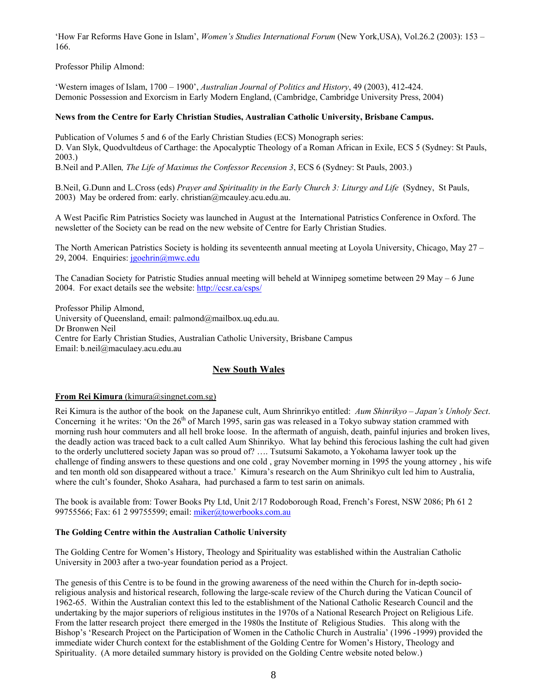'How Far Reforms Have Gone in Islam', *Women's Studies International Forum* (New York,USA), Vol.26.2 (2003): 153 – 166.

Professor Philip Almond:

'Western images of Islam, 1700 – 1900', *Australian Journal of Politics and History*, 49 (2003), 412-424. Demonic Possession and Exorcism in Early Modern England, (Cambridge, Cambridge University Press, 2004)

#### **News from the Centre for Early Christian Studies, Australian Catholic University, Brisbane Campus.**

Publication of Volumes 5 and 6 of the Early Christian Studies (ECS) Monograph series: D. Van Slyk, Quodvultdeus of Carthage: the Apocalyptic Theology of a Roman African in Exile, ECS 5 (Sydney: St Pauls, 2003.)

B.Neil and P.Allen*, The Life of Maximus the Confessor Recension 3*, ECS 6 (Sydney: St Pauls, 2003.)

B.Neil, G.Dunn and L.Cross (eds) *Prayer and Spirituality in the Early Church 3: Liturgy and Life* (Sydney, St Pauls, 2003) May be ordered from: early. christian@mcauley.acu.edu.au.

A West Pacific Rim Patristics Society was launched in August at the International Patristics Conference in Oxford. The newsletter of the Society can be read on the new website of Centre for Early Christian Studies.

The North American Patristics Society is holding its seventeenth annual meeting at Loyola University, Chicago, May 27 – 29, 2004. Enquiries: jgoehrin@mwc.edu

The Canadian Society for Patristic Studies annual meeting will beheld at Winnipeg sometime between 29 May – 6 June 2004. For exact details see the website: http://ccsr.ca/csps/

Professor Philip Almond, University of Queensland, email: palmond@mailbox.uq.edu.au. Dr Bronwen Neil Centre for Early Christian Studies, Australian Catholic University, Brisbane Campus Email: b.neil@maculaey.acu.edu.au

# **New South Wales**

#### **From Rei Kimura** (kimura@singnet.com.sg)

Rei Kimura is the author of the book on the Japanese cult, Aum Shrinrikyo entitled: *Aum Shinrikyo – Japan's Unholy Sect*. Concerning it he writes: 'On the  $26<sup>th</sup>$  of March 1995, sarin gas was released in a Tokyo subway station crammed with morning rush hour commuters and all hell broke loose. In the aftermath of anguish, death, painful injuries and broken lives, the deadly action was traced back to a cult called Aum Shinrikyo. What lay behind this ferocious lashing the cult had given to the orderly uncluttered society Japan was so proud of? …. Tsutsumi Sakamoto, a Yokohama lawyer took up the challenge of finding answers to these questions and one cold , gray November morning in 1995 the young attorney , his wife and ten month old son disappeared without a trace.' Kimura's research on the Aum Shrinikyo cult led him to Australia, where the cult's founder, Shoko Asahara, had purchased a farm to test sarin on animals.

The book is available from: Tower Books Pty Ltd, Unit 2/17 Rodoborough Road, French's Forest, NSW 2086; Ph 61 2 99755566; Fax: 61 2 99755599; email: miker@towerbooks.com.au

#### **The Golding Centre within the Australian Catholic University**

The Golding Centre for Women's History, Theology and Spirituality was established within the Australian Catholic University in 2003 after a two-year foundation period as a Project.

The genesis of this Centre is to be found in the growing awareness of the need within the Church for in-depth socioreligious analysis and historical research, following the large-scale review of the Church during the Vatican Council of 1962-65. Within the Australian context this led to the establishment of the National Catholic Research Council and the undertaking by the major superiors of religious institutes in the 1970s of a National Research Project on Religious Life. From the latter research project there emerged in the 1980s the Institute of Religious Studies. This along with the Bishop's 'Research Project on the Participation of Women in the Catholic Church in Australia' (1996 -1999) provided the immediate wider Church context for the establishment of the Golding Centre for Women's History, Theology and Spirituality. (A more detailed summary history is provided on the Golding Centre website noted below.)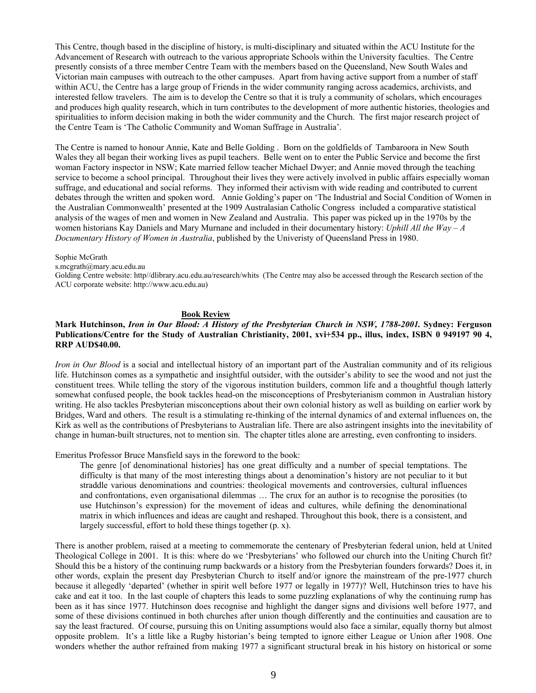This Centre, though based in the discipline of history, is multi-disciplinary and situated within the ACU Institute for the Advancement of Research with outreach to the various appropriate Schools within the University faculties. The Centre presently consists of a three member Centre Team with the members based on the Queensland, New South Wales and Victorian main campuses with outreach to the other campuses. Apart from having active support from a number of staff within ACU, the Centre has a large group of Friends in the wider community ranging across academics, archivists, and interested fellow travelers. The aim is to develop the Centre so that it is truly a community of scholars, which encourages and produces high quality research, which in turn contributes to the development of more authentic histories, theologies and spiritualities to inform decision making in both the wider community and the Church. The first major research project of the Centre Team is 'The Catholic Community and Woman Suffrage in Australia'.

The Centre is named to honour Annie, Kate and Belle Golding . Born on the goldfields of Tambaroora in New South Wales they all began their working lives as pupil teachers. Belle went on to enter the Public Service and become the first woman Factory inspector in NSW; Kate married fellow teacher Michael Dwyer; and Annie moved through the teaching service to become a school principal. Throughout their lives they were actively involved in public affairs especially woman suffrage, and educational and social reforms. They informed their activism with wide reading and contributed to current debates through the written and spoken word. Annie Golding's paper on 'The Industrial and Social Condition of Women in the Australian Commonwealth' presented at the 1909 Australasian Catholic Congress included a comparative statistical analysis of the wages of men and women in New Zealand and Australia. This paper was picked up in the 1970s by the women historians Kay Daniels and Mary Murnane and included in their documentary history: *Uphill All the Way – A Documentary History of Women in Australia*, published by the Univeristy of Queensland Press in 1980.

#### Sophie McGrath

s.mcgrath@mary.acu.edu.au

Golding Centre website: http//dlibrary.acu.edu.au/research/whits (The Centre may also be accessed through the Research section of the ACU corporate website: http://www.acu.edu.au)

#### **Book Review**

#### **Mark Hutchinson,** *Iron in Our Blood: A History of the Presbyterian Church in NSW, 1788-2001.* **Sydney: Ferguson Publications/Centre for the Study of Australian Christianity, 2001, xvi+534 pp., illus, index, ISBN 0 949197 90 4, RRP AUD\$40.00.**

*Iron in Our Blood* is a social and intellectual history of an important part of the Australian community and of its religious life. Hutchinson comes as a sympathetic and insightful outsider, with the outsider's ability to see the wood and not just the constituent trees. While telling the story of the vigorous institution builders, common life and a thoughtful though latterly somewhat confused people, the book tackles head-on the misconceptions of Presbyterianism common in Australian history writing. He also tackles Presbyterian misconceptions about their own colonial history as well as building on earlier work by Bridges, Ward and others. The result is a stimulating re-thinking of the internal dynamics of and external influences on, the Kirk as well as the contributions of Presbyterians to Australian life. There are also astringent insights into the inevitability of change in human-built structures, not to mention sin. The chapter titles alone are arresting, even confronting to insiders.

Emeritus Professor Bruce Mansfield says in the foreword to the book:

The genre [of denominational histories] has one great difficulty and a number of special temptations. The difficulty is that many of the most interesting things about a denomination's history are not peculiar to it but straddle various denominations and countries: theological movements and controversies, cultural influences and confrontations, even organisational dilemmas … The crux for an author is to recognise the porosities (to use Hutchinson's expression) for the movement of ideas and cultures, while defining the denominational matrix in which influences and ideas are caught and reshaped. Throughout this book, there is a consistent, and largely successful, effort to hold these things together (p. x).

There is another problem, raised at a meeting to commemorate the centenary of Presbyterian federal union, held at United Theological College in 2001. It is this: where do we 'Presbyterians' who followed our church into the Uniting Church fit? Should this be a history of the continuing rump backwards or a history from the Presbyterian founders forwards? Does it, in other words, explain the present day Presbyterian Church to itself and/or ignore the mainstream of the pre-1977 church because it allegedly 'departed' (whether in spirit well before 1977 or legally in 1977)? Well, Hutchinson tries to have his cake and eat it too. In the last couple of chapters this leads to some puzzling explanations of why the continuing rump has been as it has since 1977. Hutchinson does recognise and highlight the danger signs and divisions well before 1977, and some of these divisions continued in both churches after union though differently and the continuities and causation are to say the least fractured. Of course, pursuing this on Uniting assumptions would also face a similar, equally thorny but almost opposite problem. It's a little like a Rugby historian's being tempted to ignore either League or Union after 1908. One wonders whether the author refrained from making 1977 a significant structural break in his history on historical or some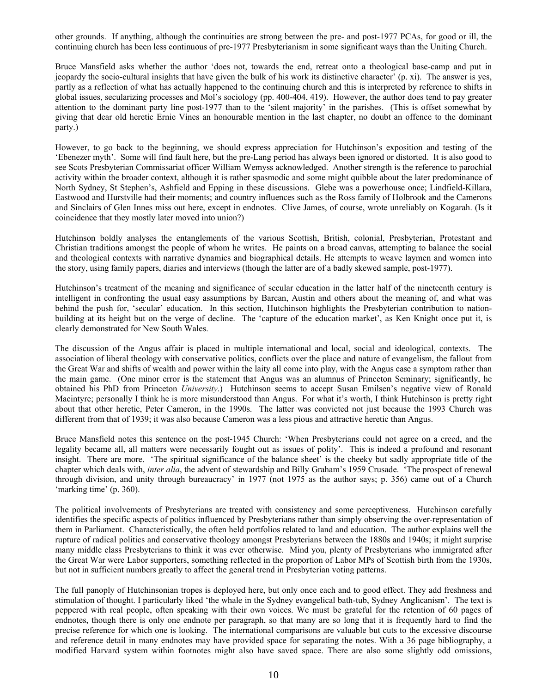other grounds. If anything, although the continuities are strong between the pre- and post-1977 PCAs, for good or ill, the continuing church has been less continuous of pre-1977 Presbyterianism in some significant ways than the Uniting Church.

Bruce Mansfield asks whether the author 'does not, towards the end, retreat onto a theological base-camp and put in jeopardy the socio-cultural insights that have given the bulk of his work its distinctive character' (p. xi). The answer is yes, partly as a reflection of what has actually happened to the continuing church and this is interpreted by reference to shifts in global issues, secularizing processes and Mol's sociology (pp. 400-404, 419). However, the author does tend to pay greater attention to the dominant party line post-1977 than to the 'silent majority' in the parishes. (This is offset somewhat by giving that dear old heretic Ernie Vines an honourable mention in the last chapter, no doubt an offence to the dominant party.)

However, to go back to the beginning, we should express appreciation for Hutchinson's exposition and testing of the 'Ebenezer myth'. Some will find fault here, but the pre-Lang period has always been ignored or distorted. It is also good to see Scots Presbyterian Commissariat officer William Wemyss acknowledged. Another strength is the reference to parochial activity within the broader context, although it is rather spasmodic and some might quibble about the later predominance of North Sydney, St Stephen's, Ashfield and Epping in these discussions. Glebe was a powerhouse once; Lindfield-Killara, Eastwood and Hurstville had their moments; and country influences such as the Ross family of Holbrook and the Camerons and Sinclairs of Glen Innes miss out here, except in endnotes. Clive James, of course, wrote unreliably on Kogarah. (Is it coincidence that they mostly later moved into union?)

Hutchinson boldly analyses the entanglements of the various Scottish, British, colonial, Presbyterian, Protestant and Christian traditions amongst the people of whom he writes. He paints on a broad canvas, attempting to balance the social and theological contexts with narrative dynamics and biographical details. He attempts to weave laymen and women into the story, using family papers, diaries and interviews (though the latter are of a badly skewed sample, post-1977).

Hutchinson's treatment of the meaning and significance of secular education in the latter half of the nineteenth century is intelligent in confronting the usual easy assumptions by Barcan, Austin and others about the meaning of, and what was behind the push for, 'secular' education. In this section, Hutchinson highlights the Presbyterian contribution to nationbuilding at its height but on the verge of decline. The 'capture of the education market', as Ken Knight once put it, is clearly demonstrated for New South Wales.

The discussion of the Angus affair is placed in multiple international and local, social and ideological, contexts. The association of liberal theology with conservative politics, conflicts over the place and nature of evangelism, the fallout from the Great War and shifts of wealth and power within the laity all come into play, with the Angus case a symptom rather than the main game. (One minor error is the statement that Angus was an alumnus of Princeton Seminary; significantly, he obtained his PhD from Princeton *University*.) Hutchinson seems to accept Susan Emilsen's negative view of Ronald Macintyre; personally I think he is more misunderstood than Angus. For what it's worth, I think Hutchinson is pretty right about that other heretic, Peter Cameron, in the 1990s. The latter was convicted not just because the 1993 Church was different from that of 1939; it was also because Cameron was a less pious and attractive heretic than Angus.

Bruce Mansfield notes this sentence on the post-1945 Church: 'When Presbyterians could not agree on a creed, and the legality became all, all matters were necessarily fought out as issues of polity'. This is indeed a profound and resonant insight. There are more. 'The spiritual significance of the balance sheet' is the cheeky but sadly appropriate title of the chapter which deals with, *inter alia*, the advent of stewardship and Billy Graham's 1959 Crusade. 'The prospect of renewal through division, and unity through bureaucracy' in 1977 (not 1975 as the author says; p. 356) came out of a Church 'marking time' (p. 360).

The political involvements of Presbyterians are treated with consistency and some perceptiveness. Hutchinson carefully identifies the specific aspects of politics influenced by Presbyterians rather than simply observing the over-representation of them in Parliament. Characteristically, the often held portfolios related to land and education. The author explains well the rupture of radical politics and conservative theology amongst Presbyterians between the 1880s and 1940s; it might surprise many middle class Presbyterians to think it was ever otherwise. Mind you, plenty of Presbyterians who immigrated after the Great War were Labor supporters, something reflected in the proportion of Labor MPs of Scottish birth from the 1930s, but not in sufficient numbers greatly to affect the general trend in Presbyterian voting patterns.

The full panoply of Hutchinsonian tropes is deployed here, but only once each and to good effect. They add freshness and stimulation of thought. I particularly liked 'the whale in the Sydney evangelical bath-tub, Sydney Anglicanism'. The text is peppered with real people, often speaking with their own voices. We must be grateful for the retention of 60 pages of endnotes, though there is only one endnote per paragraph, so that many are so long that it is frequently hard to find the precise reference for which one is looking. The international comparisons are valuable but cuts to the excessive discourse and reference detail in many endnotes may have provided space for separating the notes. With a 36 page bibliography, a modified Harvard system within footnotes might also have saved space. There are also some slightly odd omissions,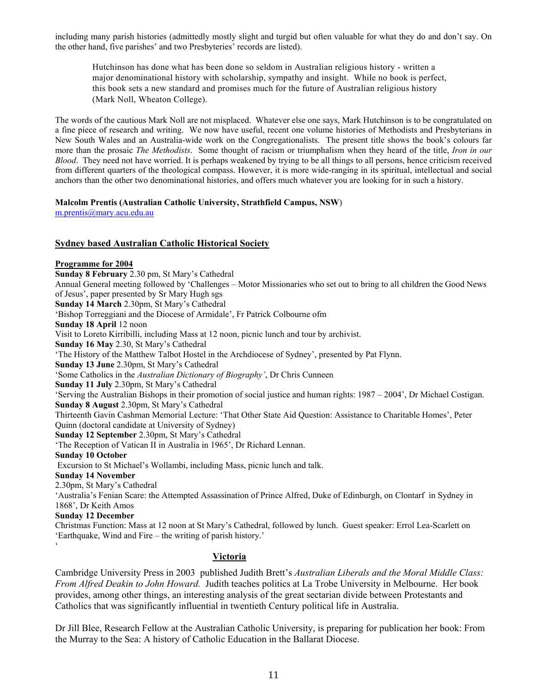including many parish histories (admittedly mostly slight and turgid but often valuable for what they do and don't say. On the other hand, five parishes' and two Presbyteries' records are listed).

Hutchinson has done what has been done so seldom in Australian religious history - written a major denominational history with scholarship, sympathy and insight. While no book is perfect, this book sets a new standard and promises much for the future of Australian religious history (Mark Noll, Wheaton College).

The words of the cautious Mark Noll are not misplaced. Whatever else one says, Mark Hutchinson is to be congratulated on a fine piece of research and writing. We now have useful, recent one volume histories of Methodists and Presbyterians in New South Wales and an Australia-wide work on the Congregationalists. The present title shows the book's colours far more than the prosaic *The Methodists*. Some thought of racism or triumphalism when they heard of the title, *Iron in our Blood*. They need not have worried. It is perhaps weakened by trying to be all things to all persons, hence criticism received from different quarters of the theological compass. However, it is more wide-ranging in its spiritual, intellectual and social anchors than the other two denominational histories, and offers much whatever you are looking for in such a history.

#### **Malcolm Prentis (Australian Catholic University, Strathfield Campus, NSW**)

m.prentis@mary.acu.edu.au

#### **Sydney based Australian Catholic Historical Society**

#### **Programme for 2004**

**Sunday 8 February** 2.30 pm, St Mary's Cathedral Annual General meeting followed by 'Challenges – Motor Missionaries who set out to bring to all children the Good News of Jesus', paper presented by Sr Mary Hugh sgs **Sunday 14 March** 2.30pm, St Mary's Cathedral 'Bishop Torreggiani and the Diocese of Armidale', Fr Patrick Colbourne ofm **Sunday 18 April** 12 noon Visit to Loreto Kirribilli, including Mass at 12 noon, picnic lunch and tour by archivist. **Sunday 16 May** 2.30, St Mary's Cathedral 'The History of the Matthew Talbot Hostel in the Archdiocese of Sydney', presented by Pat Flynn. **Sunday 13 June** 2.30pm, St Mary's Cathedral 'Some Catholics in the *Australian Dictionary of Biography'*, Dr Chris Cunneen **Sunday 11 July** 2.30pm, St Mary's Cathedral 'Serving the Australian Bishops in their promotion of social justice and human rights: 1987 – 2004', Dr Michael Costigan. **Sunday 8 August** 2.30pm, St Mary's Cathedral Thirteenth Gavin Cashman Memorial Lecture: 'That Other State Aid Question: Assistance to Charitable Homes', Peter Quinn (doctoral candidate at University of Sydney) **Sunday 12 September** 2.30pm, St Mary's Cathedral 'The Reception of Vatican II in Australia in 1965', Dr Richard Lennan. **Sunday 10 October**  Excursion to St Michael's Wollambi, including Mass, picnic lunch and talk. **Sunday 14 November**  2.30pm, St Mary's Cathedral 'Australia's Fenian Scare: the Attempted Assassination of Prince Alfred, Duke of Edinburgh, on Clontarf in Sydney in 1868', Dr Keith Amos **Sunday 12 December**  Christmas Function: Mass at 12 noon at St Mary's Cathedral, followed by lunch. Guest speaker: Errol Lea-Scarlett on 'Earthquake, Wind and Fire – the writing of parish history.'  $\epsilon$ 

#### **Victoria**

Cambridge University Press in 2003 published Judith Brett's *Australian Liberals and the Moral Middle Class: From Alfred Deakin to John Howard.* Judith teaches politics at La Trobe University in Melbourne. Her book provides, among other things, an interesting analysis of the great sectarian divide between Protestants and Catholics that was significantly influential in twentieth Century political life in Australia.

Dr Jill Blee, Research Fellow at the Australian Catholic University, is preparing for publication her book: From the Murray to the Sea: A history of Catholic Education in the Ballarat Diocese.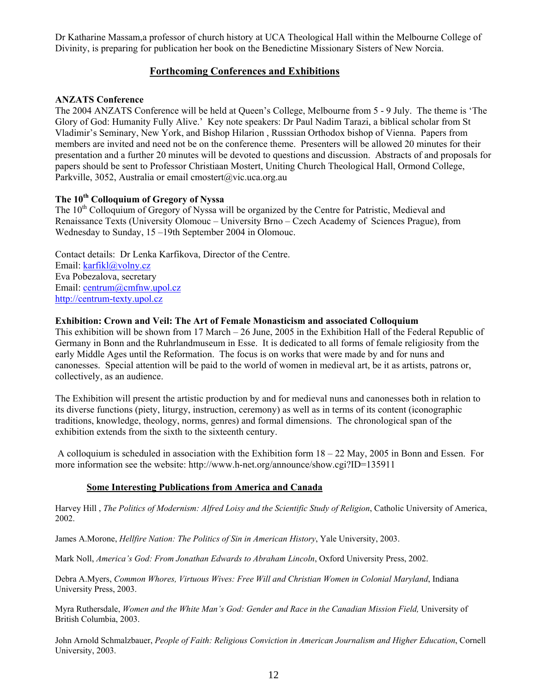Dr Katharine Massam,a professor of church history at UCA Theological Hall within the Melbourne College of Divinity, is preparing for publication her book on the Benedictine Missionary Sisters of New Norcia.

# **Forthcoming Conferences and Exhibitions**

## **ANZATS Conference**

The 2004 ANZATS Conference will be held at Queen's College, Melbourne from 5 - 9 July. The theme is 'The Glory of God: Humanity Fully Alive.' Key note speakers: Dr Paul Nadim Tarazi, a biblical scholar from St Vladimir's Seminary, New York, and Bishop Hilarion , Russsian Orthodox bishop of Vienna. Papers from members are invited and need not be on the conference theme. Presenters will be allowed 20 minutes for their presentation and a further 20 minutes will be devoted to questions and discussion. Abstracts of and proposals for papers should be sent to Professor Christiaan Mostert, Uniting Church Theological Hall, Ormond College, Parkville, 3052, Australia or email cmostert@vic.uca.org.au

# **The 10th Colloquium of Gregory of Nyssa**

The 10<sup>th</sup> Colloquium of Gregory of Nyssa will be organized by the Centre for Patristic, Medieval and Renaissance Texts (University Olomouc – University Brno – Czech Academy of Sciences Prague), from Wednesday to Sunday, 15 –19th September 2004 in Olomouc.

Contact details: Dr Lenka Karfikova, Director of the Centre. Email: karfikl@volny.cz Eva Pobezalova, secretary Email: centrum@cmfnw.upol.cz http://centrum-texty.upol.cz

#### **Exhibition: Crown and Veil: The Art of Female Monasticism and associated Colloquium**

This exhibition will be shown from 17 March – 26 June, 2005 in the Exhibition Hall of the Federal Republic of Germany in Bonn and the Ruhrlandmuseum in Esse. It is dedicated to all forms of female religiosity from the early Middle Ages until the Reformation. The focus is on works that were made by and for nuns and canonesses. Special attention will be paid to the world of women in medieval art, be it as artists, patrons or, collectively, as an audience.

The Exhibition will present the artistic production by and for medieval nuns and canonesses both in relation to its diverse functions (piety, liturgy, instruction, ceremony) as well as in terms of its content (iconographic traditions, knowledge, theology, norms, genres) and formal dimensions. The chronological span of the exhibition extends from the sixth to the sixteenth century.

 A colloquium is scheduled in association with the Exhibition form 18 – 22 May, 2005 in Bonn and Essen. For more information see the website: http://www.h-net.org/announce/show.cgi?ID=135911

#### **Some Interesting Publications from America and Canada**

Harvey Hill , *The Politics of Modernism: Alfred Loisy and the Scientific Study of Religion*, Catholic University of America, 2002.

James A.Morone, *Hellfire Nation: The Politics of Sin in American History*, Yale University, 2003.

Mark Noll, *America's God: From Jonathan Edwards to Abraham Lincoln*, Oxford University Press, 2002.

Debra A.Myers, *Common Whores, Virtuous Wives: Free Will and Christian Women in Colonial Maryland*, Indiana University Press, 2003.

Myra Ruthersdale, *Women and the White Man's God: Gender and Race in the Canadian Mission Field,* University of British Columbia, 2003.

John Arnold Schmalzbauer, *People of Faith: Religious Conviction in American Journalism and Higher Education*, Cornell University, 2003.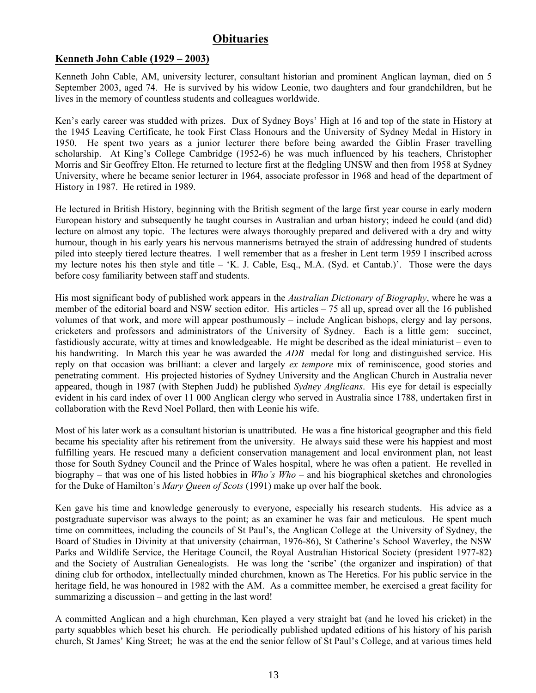# **Obituaries**

# **Kenneth John Cable (1929 – 2003)**

Kenneth John Cable, AM, university lecturer, consultant historian and prominent Anglican layman, died on 5 September 2003, aged 74. He is survived by his widow Leonie, two daughters and four grandchildren, but he lives in the memory of countless students and colleagues worldwide.

Ken's early career was studded with prizes. Dux of Sydney Boys' High at 16 and top of the state in History at the 1945 Leaving Certificate, he took First Class Honours and the University of Sydney Medal in History in 1950. He spent two years as a junior lecturer there before being awarded the Giblin Fraser travelling scholarship. At King's College Cambridge (1952-6) he was much influenced by his teachers, Christopher Morris and Sir Geoffrey Elton. He returned to lecture first at the fledgling UNSW and then from 1958 at Sydney University, where he became senior lecturer in 1964, associate professor in 1968 and head of the department of History in 1987. He retired in 1989.

He lectured in British History, beginning with the British segment of the large first year course in early modern European history and subsequently he taught courses in Australian and urban history; indeed he could (and did) lecture on almost any topic. The lectures were always thoroughly prepared and delivered with a dry and witty humour, though in his early years his nervous mannerisms betrayed the strain of addressing hundred of students piled into steeply tiered lecture theatres. I well remember that as a fresher in Lent term 1959 I inscribed across my lecture notes his then style and title – 'K. J. Cable, Esq., M.A. (Syd. et Cantab.)'. Those were the days before cosy familiarity between staff and students.

His most significant body of published work appears in the *Australian Dictionary of Biography*, where he was a member of the editorial board and NSW section editor. His articles – 75 all up, spread over all the 16 published volumes of that work, and more will appear posthumously – include Anglican bishops, clergy and lay persons, cricketers and professors and administrators of the University of Sydney. Each is a little gem: succinct, fastidiously accurate, witty at times and knowledgeable. He might be described as the ideal miniaturist – even to his handwriting. In March this year he was awarded the *ADB* medal for long and distinguished service. His reply on that occasion was brilliant: a clever and largely *ex tempore* mix of reminiscence, good stories and penetrating comment. His projected histories of Sydney University and the Anglican Church in Australia never appeared, though in 1987 (with Stephen Judd) he published *Sydney Anglicans*. His eye for detail is especially evident in his card index of over 11 000 Anglican clergy who served in Australia since 1788, undertaken first in collaboration with the Revd Noel Pollard, then with Leonie his wife.

Most of his later work as a consultant historian is unattributed. He was a fine historical geographer and this field became his speciality after his retirement from the university. He always said these were his happiest and most fulfilling years. He rescued many a deficient conservation management and local environment plan, not least those for South Sydney Council and the Prince of Wales hospital, where he was often a patient. He revelled in biography – that was one of his listed hobbies in *Who's Who* – and his biographical sketches and chronologies for the Duke of Hamilton's *Mary Queen of Scots* (1991) make up over half the book.

Ken gave his time and knowledge generously to everyone, especially his research students. His advice as a postgraduate supervisor was always to the point; as an examiner he was fair and meticulous. He spent much time on committees, including the councils of St Paul's, the Anglican College at the University of Sydney, the Board of Studies in Divinity at that university (chairman, 1976-86), St Catherine's School Waverley, the NSW Parks and Wildlife Service, the Heritage Council, the Royal Australian Historical Society (president 1977-82) and the Society of Australian Genealogists. He was long the 'scribe' (the organizer and inspiration) of that dining club for orthodox, intellectually minded churchmen, known as The Heretics. For his public service in the heritage field, he was honoured in 1982 with the AM. As a committee member, he exercised a great facility for summarizing a discussion – and getting in the last word!

A committed Anglican and a high churchman, Ken played a very straight bat (and he loved his cricket) in the party squabbles which beset his church. He periodically published updated editions of his history of his parish church, St James' King Street; he was at the end the senior fellow of St Paul's College, and at various times held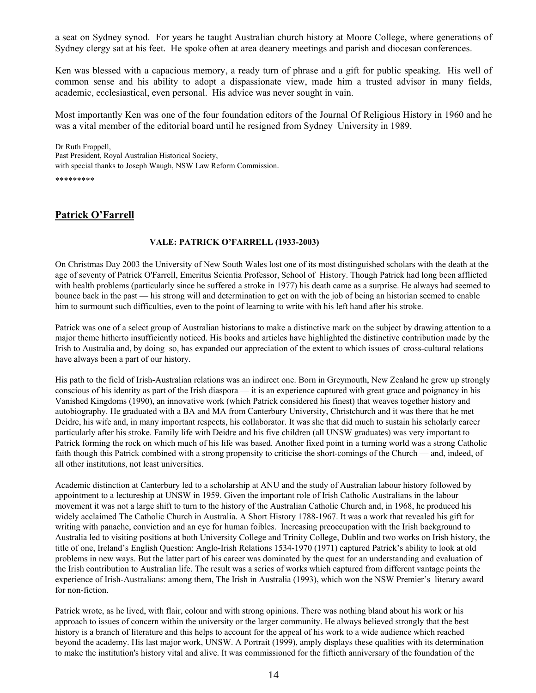a seat on Sydney synod. For years he taught Australian church history at Moore College, where generations of Sydney clergy sat at his feet. He spoke often at area deanery meetings and parish and diocesan conferences.

Ken was blessed with a capacious memory, a ready turn of phrase and a gift for public speaking. His well of common sense and his ability to adopt a dispassionate view, made him a trusted advisor in many fields, academic, ecclesiastical, even personal. His advice was never sought in vain.

Most importantly Ken was one of the four foundation editors of the Journal Of Religious History in 1960 and he was a vital member of the editorial board until he resigned from Sydney University in 1989.

Dr Ruth Frappell, Past President, Royal Australian Historical Society, with special thanks to Joseph Waugh, NSW Law Reform Commission.

\*\*\*\*\*\*\*\*\*

#### **Patrick O'Farrell**

#### **VALE: PATRICK O'FARRELL (1933-2003)**

On Christmas Day 2003 the University of New South Wales lost one of its most distinguished scholars with the death at the age of seventy of Patrick O'Farrell, Emeritus Scientia Professor, School of History. Though Patrick had long been afflicted with health problems (particularly since he suffered a stroke in 1977) his death came as a surprise. He always had seemed to bounce back in the past — his strong will and determination to get on with the job of being an historian seemed to enable him to surmount such difficulties, even to the point of learning to write with his left hand after his stroke.

Patrick was one of a select group of Australian historians to make a distinctive mark on the subject by drawing attention to a major theme hitherto insufficiently noticed. His books and articles have highlighted the distinctive contribution made by the Irish to Australia and, by doing so, has expanded our appreciation of the extent to which issues of cross-cultural relations have always been a part of our history.

His path to the field of Irish-Australian relations was an indirect one. Born in Greymouth, New Zealand he grew up strongly conscious of his identity as part of the Irish diaspora — it is an experience captured with great grace and poignancy in his Vanished Kingdoms (1990), an innovative work (which Patrick considered his finest) that weaves together history and autobiography. He graduated with a BA and MA from Canterbury University, Christchurch and it was there that he met Deidre, his wife and, in many important respects, his collaborator. It was she that did much to sustain his scholarly career particularly after his stroke. Family life with Deidre and his five children (all UNSW graduates) was very important to Patrick forming the rock on which much of his life was based. Another fixed point in a turning world was a strong Catholic faith though this Patrick combined with a strong propensity to criticise the short-comings of the Church — and, indeed, of all other institutions, not least universities.

Academic distinction at Canterbury led to a scholarship at ANU and the study of Australian labour history followed by appointment to a lectureship at UNSW in 1959. Given the important role of Irish Catholic Australians in the labour movement it was not a large shift to turn to the history of the Australian Catholic Church and, in 1968, he produced his widely acclaimed The Catholic Church in Australia. A Short History 1788-1967. It was a work that revealed his gift for writing with panache, conviction and an eye for human foibles. Increasing preoccupation with the Irish background to Australia led to visiting positions at both University College and Trinity College, Dublin and two works on Irish history, the title of one, Ireland's English Question: Anglo-Irish Relations 1534-1970 (1971) captured Patrick's ability to look at old problems in new ways. But the latter part of his career was dominated by the quest for an understanding and evaluation of the Irish contribution to Australian life. The result was a series of works which captured from different vantage points the experience of Irish-Australians: among them, The Irish in Australia (1993), which won the NSW Premier's literary award for non-fiction.

Patrick wrote, as he lived, with flair, colour and with strong opinions. There was nothing bland about his work or his approach to issues of concern within the university or the larger community. He always believed strongly that the best history is a branch of literature and this helps to account for the appeal of his work to a wide audience which reached beyond the academy. His last major work, UNSW. A Portrait (1999), amply displays these qualities with its determination to make the institution's history vital and alive. It was commissioned for the fiftieth anniversary of the foundation of the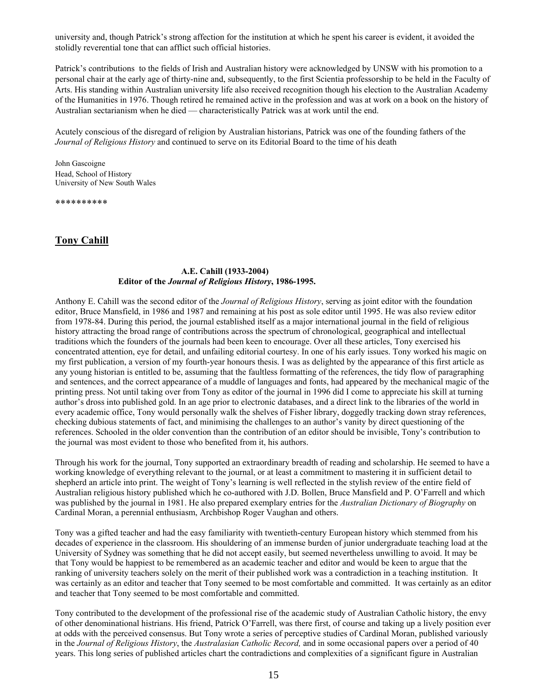university and, though Patrick's strong affection for the institution at which he spent his career is evident, it avoided the stolidly reverential tone that can afflict such official histories.

Patrick's contributions to the fields of Irish and Australian history were acknowledged by UNSW with his promotion to a personal chair at the early age of thirty-nine and, subsequently, to the first Scientia professorship to be held in the Faculty of Arts. His standing within Australian university life also received recognition though his election to the Australian Academy of the Humanities in 1976. Though retired he remained active in the profession and was at work on a book on the history of Australian sectarianism when he died — characteristically Patrick was at work until the end.

Acutely conscious of the disregard of religion by Australian historians, Patrick was one of the founding fathers of the *Journal of Religious History* and continued to serve on its Editorial Board to the time of his death

John Gascoigne Head, School of History University of New South Wales

\*\*\*\*\*\*\*\*\*\*

#### **Tony Cahill**

#### **A.E. Cahill (1933-2004) Editor of the** *Journal of Religious History***, 1986-1995.**

Anthony E. Cahill was the second editor of the *Journal of Religious History*, serving as joint editor with the foundation editor, Bruce Mansfield, in 1986 and 1987 and remaining at his post as sole editor until 1995. He was also review editor from 1978-84. During this period, the journal established itself as a major international journal in the field of religious history attracting the broad range of contributions across the spectrum of chronological, geographical and intellectual traditions which the founders of the journals had been keen to encourage. Over all these articles, Tony exercised his concentrated attention, eye for detail, and unfailing editorial courtesy. In one of his early issues. Tony worked his magic on my first publication, a version of my fourth-year honours thesis. I was as delighted by the appearance of this first article as any young historian is entitled to be, assuming that the faultless formatting of the references, the tidy flow of paragraphing and sentences, and the correct appearance of a muddle of languages and fonts, had appeared by the mechanical magic of the printing press. Not until taking over from Tony as editor of the journal in 1996 did I come to appreciate his skill at turning author's dross into published gold. In an age prior to electronic databases, and a direct link to the libraries of the world in every academic office, Tony would personally walk the shelves of Fisher library, doggedly tracking down stray references, checking dubious statements of fact, and minimising the challenges to an author's vanity by direct questioning of the references. Schooled in the older convention than the contribution of an editor should be invisible, Tony's contribution to the journal was most evident to those who benefited from it, his authors.

Through his work for the journal, Tony supported an extraordinary breadth of reading and scholarship. He seemed to have a working knowledge of everything relevant to the journal, or at least a commitment to mastering it in sufficient detail to shepherd an article into print. The weight of Tony's learning is well reflected in the stylish review of the entire field of Australian religious history published which he co-authored with J.D. Bollen, Bruce Mansfield and P. O'Farrell and which was published by the journal in 1981. He also prepared exemplary entries for the *Australian Dictionary of Biography* on Cardinal Moran, a perennial enthusiasm, Archbishop Roger Vaughan and others.

Tony was a gifted teacher and had the easy familiarity with twentieth-century European history which stemmed from his decades of experience in the classroom. His shouldering of an immense burden of junior undergraduate teaching load at the University of Sydney was something that he did not accept easily, but seemed nevertheless unwilling to avoid. It may be that Tony would be happiest to be remembered as an academic teacher and editor and would be keen to argue that the ranking of university teachers solely on the merit of their published work was a contradiction in a teaching institution. It was certainly as an editor and teacher that Tony seemed to be most comfortable and committed. It was certainly as an editor and teacher that Tony seemed to be most comfortable and committed.

Tony contributed to the development of the professional rise of the academic study of Australian Catholic history, the envy of other denominational histrians. His friend, Patrick O'Farrell, was there first, of course and taking up a lively position ever at odds with the perceived consensus. But Tony wrote a series of perceptive studies of Cardinal Moran, published variously in the *Journal of Religious History*, the *Australasian Catholic Record,* and in some occasional papers over a period of 40 years. This long series of published articles chart the contradictions and complexities of a significant figure in Australian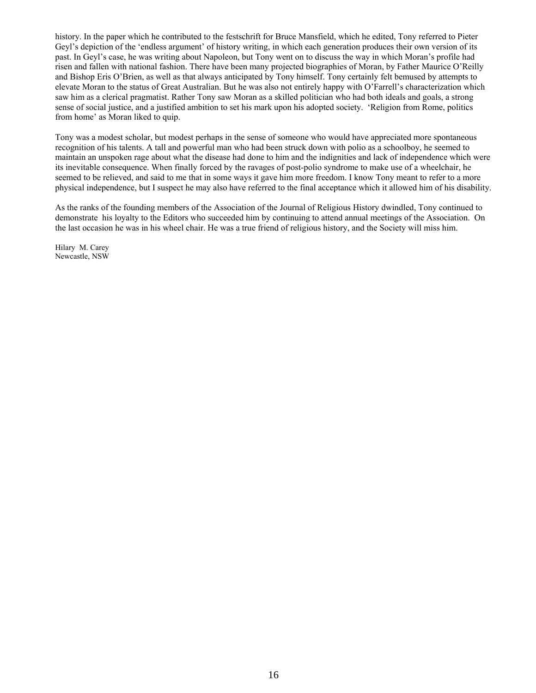history. In the paper which he contributed to the festschrift for Bruce Mansfield, which he edited, Tony referred to Pieter Geyl's depiction of the 'endless argument' of history writing, in which each generation produces their own version of its past. In Geyl's case, he was writing about Napoleon, but Tony went on to discuss the way in which Moran's profile had risen and fallen with national fashion. There have been many projected biographies of Moran, by Father Maurice O'Reilly and Bishop Eris O'Brien, as well as that always anticipated by Tony himself. Tony certainly felt bemused by attempts to elevate Moran to the status of Great Australian. But he was also not entirely happy with O'Farrell's characterization which saw him as a clerical pragmatist. Rather Tony saw Moran as a skilled politician who had both ideals and goals, a strong sense of social justice, and a justified ambition to set his mark upon his adopted society. 'Religion from Rome, politics from home' as Moran liked to quip.

Tony was a modest scholar, but modest perhaps in the sense of someone who would have appreciated more spontaneous recognition of his talents. A tall and powerful man who had been struck down with polio as a schoolboy, he seemed to maintain an unspoken rage about what the disease had done to him and the indignities and lack of independence which were its inevitable consequence. When finally forced by the ravages of post-polio syndrome to make use of a wheelchair, he seemed to be relieved, and said to me that in some ways it gave him more freedom. I know Tony meant to refer to a more physical independence, but I suspect he may also have referred to the final acceptance which it allowed him of his disability.

As the ranks of the founding members of the Association of the Journal of Religious History dwindled, Tony continued to demonstrate his loyalty to the Editors who succeeded him by continuing to attend annual meetings of the Association. On the last occasion he was in his wheel chair. He was a true friend of religious history, and the Society will miss him.

Hilary M. Carey Newcastle, NSW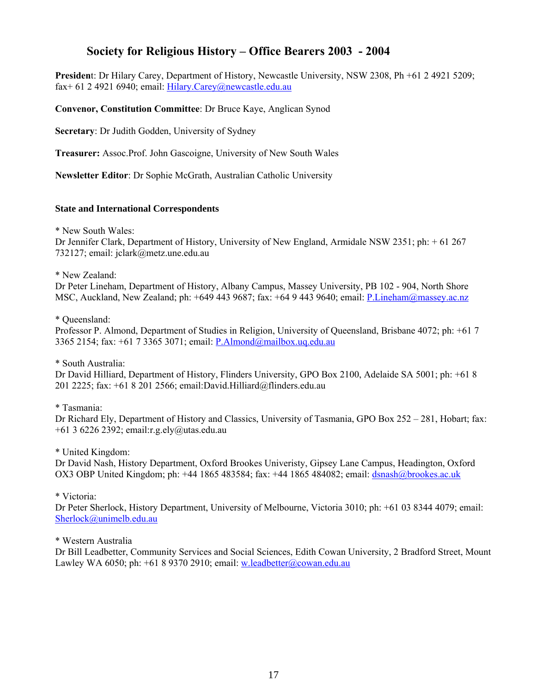# **Society for Religious History – Office Bearers 2003 - 2004**

**Presiden**t: Dr Hilary Carey, Department of History, Newcastle University, NSW 2308, Ph +61 2 4921 5209; fax+ 61 2 4921 6940; email: Hilary.Carey@newcastle.edu.au

**Convenor, Constitution Committee**: Dr Bruce Kaye, Anglican Synod

**Secretary**: Dr Judith Godden, University of Sydney

**Treasurer:** Assoc.Prof. John Gascoigne, University of New South Wales

**Newsletter Editor**: Dr Sophie McGrath, Australian Catholic University

## **State and International Correspondents**

\* New South Wales:

Dr Jennifer Clark, Department of History, University of New England, Armidale NSW 2351; ph: + 61 267 732127; email: jclark@metz.une.edu.au

\* New Zealand:

Dr Peter Lineham, Department of History, Albany Campus, Massey University, PB 102 - 904, North Shore MSC, Auckland, New Zealand; ph: +649 443 9687; fax: +64 9 443 9640; email: P.Lineham@massey.ac.nz

\* Queensland:

Professor P. Almond, Department of Studies in Religion, University of Queensland, Brisbane 4072; ph: +61 7 3365 2154; fax: +61 7 3365 3071; email: P.Almond@mailbox.uq.edu.au

\* South Australia:

Dr David Hilliard, Department of History, Flinders University, GPO Box 2100, Adelaide SA 5001; ph: +61 8 201 2225; fax: +61 8 201 2566; email:David.Hilliard@flinders.edu.au

\* Tasmania:

Dr Richard Ely, Department of History and Classics, University of Tasmania, GPO Box 252 – 281, Hobart; fax: +61 3 6226 2392; email:r.g.ely@utas.edu.au

\* United Kingdom:

Dr David Nash, History Department, Oxford Brookes Univeristy, Gipsey Lane Campus, Headington, Oxford OX3 OBP United Kingdom; ph: +44 1865 483584; fax: +44 1865 484082; email: dsnash@brookes.ac.uk

\* Victoria:

Dr Peter Sherlock, History Department, University of Melbourne, Victoria 3010; ph: +61 03 8344 4079; email: Sherlock@unimelb.edu.au

\* Western Australia

Dr Bill Leadbetter, Community Services and Social Sciences, Edith Cowan University, 2 Bradford Street, Mount Lawley WA 6050; ph:  $+61893702910$ ; email: w.leadbetter@cowan.edu.au